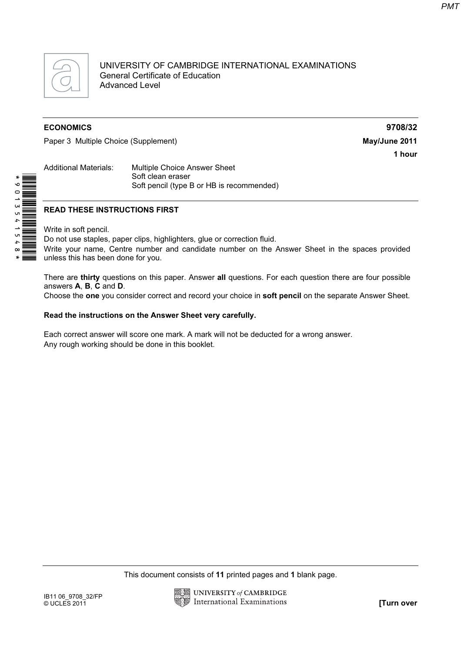

UNIVERSITY OF CAMBRIDGE INTERNATIONAL EXAMINATIONS General Certificate of Education Advanced Level

## ECONOMICS 9708/32

Paper 3 Multiple Choice (Supplement) May/June 2011

1 hour

Additional Materials: Multiple Choice Answer Sheet Soft clean eraser Soft pencil (type B or HB is recommended)

## READ THESE INSTRUCTIONS FIRST

Write in soft pencil.

Do not use staples, paper clips, highlighters, glue or correction fluid.

Write your name, Centre number and candidate number on the Answer Sheet in the spaces provided unless this has been done for you.

There are thirty questions on this paper. Answer all questions. For each question there are four possible answers A, B, C and D.

Choose the one you consider correct and record your choice in soft pencil on the separate Answer Sheet.

## Read the instructions on the Answer Sheet very carefully.

Each correct answer will score one mark. A mark will not be deducted for a wrong answer. Any rough working should be done in this booklet.

This document consists of 11 printed pages and 1 blank page.



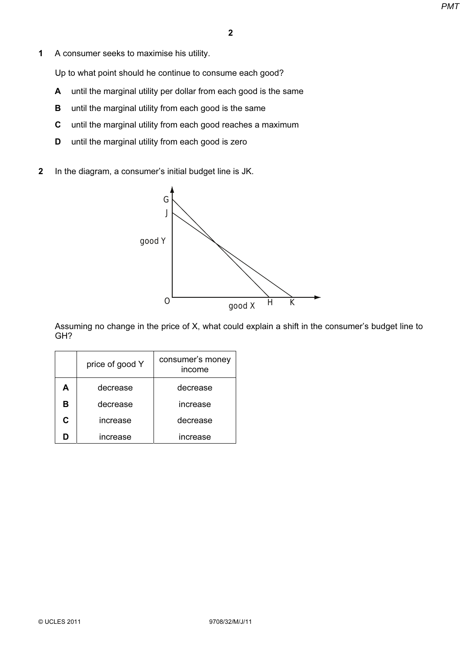1 A consumer seeks to maximise his utility.

Up to what point should he continue to consume each good?

- A until the marginal utility per dollar from each good is the same
- **B** until the marginal utility from each good is the same
- C until the marginal utility from each good reaches a maximum
- **D** until the marginal utility from each good is zero
- 2 In the diagram, a consumer's initial budget line is JK.



Assuming no change in the price of X, what could explain a shift in the consumer's budget line to GH?

|    | price of good Y | consumer's money<br>income |
|----|-----------------|----------------------------|
| Α  | decrease        | decrease                   |
| в  | decrease        | increase                   |
| C. | increase        | decrease                   |
|    | increase        | increase                   |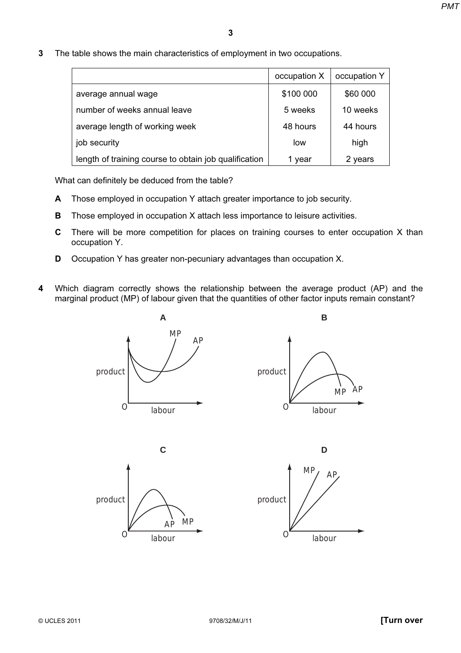3 The table shows the main characteristics of employment in two occupations.

|                                                       | occupation X | occupation Y |
|-------------------------------------------------------|--------------|--------------|
| average annual wage                                   | \$100 000    | \$60 000     |
| number of weeks annual leave                          | 5 weeks      | 10 weeks     |
| average length of working week                        | 48 hours     | 44 hours     |
| job security                                          | low          | high         |
| length of training course to obtain job qualification | year         | 2 years      |

What can definitely be deduced from the table?

- A Those employed in occupation Y attach greater importance to job security.
- **B** Those employed in occupation X attach less importance to leisure activities.
- C There will be more competition for places on training courses to enter occupation X than occupation Y.
- D Occupation Y has greater non-pecuniary advantages than occupation X.
- 4 Which diagram correctly shows the relationship between the average product (AP) and the marginal product (MP) of labour given that the quantities of other factor inputs remain constant?

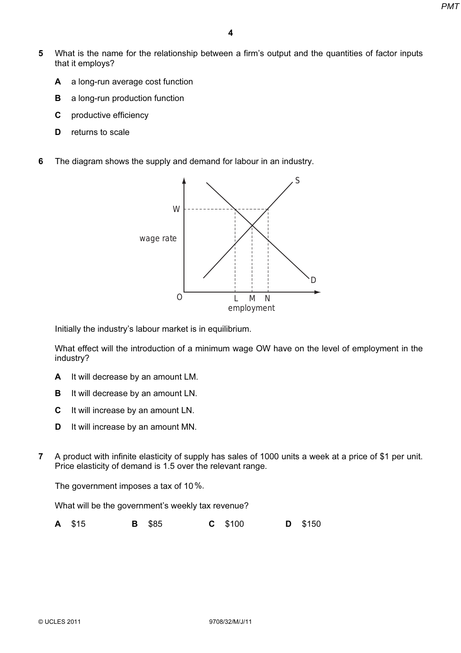- 5 What is the name for the relationship between a firm's output and the quantities of factor inputs that it employs?
	- A a long-run average cost function
	- **B** a long-run production function
	- C productive efficiency
	- D returns to scale
- 6 The diagram shows the supply and demand for labour in an industry.



Initially the industry's labour market is in equilibrium.

What effect will the introduction of a minimum wage OW have on the level of employment in the industry?

- A It will decrease by an amount LM.
- **B** It will decrease by an amount LN.
- C It will increase by an amount LN.
- D It will increase by an amount MN.
- 7 A product with infinite elasticity of supply has sales of 1000 units a week at a price of \$1 per unit. Price elasticity of demand is 1.5 over the relevant range.

The government imposes a tax of 10%.

What will be the government's weekly tax revenue?

**A** \$15 **B** \$85 **C** \$100 **D** \$150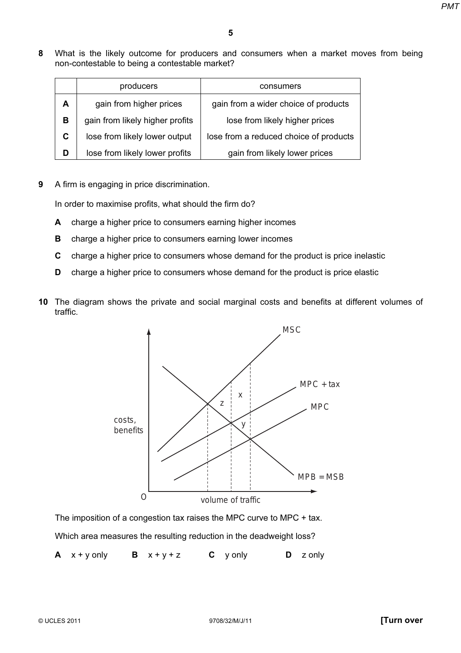8 What is the likely outcome for producers and consumers when a market moves from being non-contestable to being a contestable market?

|    | producers                       | consumers                              |
|----|---------------------------------|----------------------------------------|
| A  | gain from higher prices         | gain from a wider choice of products   |
| В  | gain from likely higher profits | lose from likely higher prices         |
| C. | lose from likely lower output   | lose from a reduced choice of products |
| D  | lose from likely lower profits  | gain from likely lower prices          |

9 A firm is engaging in price discrimination.

In order to maximise profits, what should the firm do?

- A charge a higher price to consumers earning higher incomes
- **B** charge a higher price to consumers earning lower incomes
- C charge a higher price to consumers whose demand for the product is price inelastic
- D charge a higher price to consumers whose demand for the product is price elastic
- 10 The diagram shows the private and social marginal costs and benefits at different volumes of traffic.



The imposition of a congestion tax raises the MPC curve to MPC + tax.

Which area measures the resulting reduction in the deadweight loss?

 $A \times +$  y only  $B \times +$  y  $+$  z  $C \times$  y only  $D \times$  only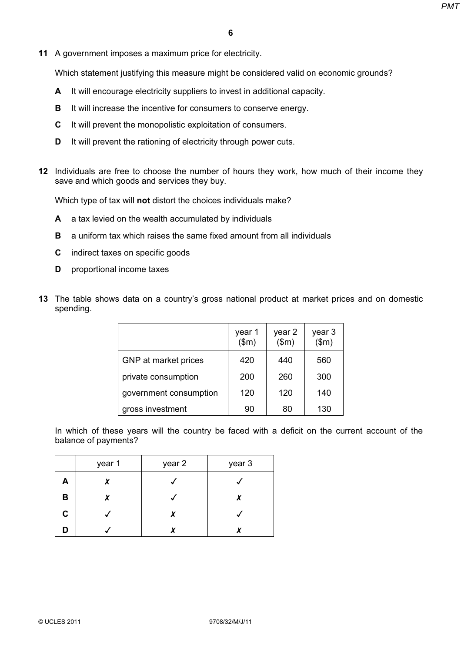11 A government imposes a maximum price for electricity.

Which statement justifying this measure might be considered valid on economic grounds?

- A It will encourage electricity suppliers to invest in additional capacity.
- **B** It will increase the incentive for consumers to conserve energy.
- C It will prevent the monopolistic exploitation of consumers.
- D It will prevent the rationing of electricity through power cuts.
- 12 Individuals are free to choose the number of hours they work, how much of their income they save and which goods and services they buy.

Which type of tax will not distort the choices individuals make?

- A a tax levied on the wealth accumulated by individuals
- **B** a uniform tax which raises the same fixed amount from all individuals
- C indirect taxes on specific goods
- D proportional income taxes
- 13 The table shows data on a country's gross national product at market prices and on domestic spending.

|                        | year 1<br>\$m\$ | year 2<br>\$m\$ | year 3<br>(\$m) |
|------------------------|-----------------|-----------------|-----------------|
| GNP at market prices   | 420             | 440             | 560             |
| private consumption    | 200             | 260             | 300             |
| government consumption | 120             | 120             | 140             |
| gross investment       | 90              | 80              | 130             |

In which of these years will the country be faced with a deficit on the current account of the balance of payments?

|             | year 1 | year 2 | year 3 |
|-------------|--------|--------|--------|
| A           |        |        |        |
| В           | Y      |        | Y      |
| $\mathbf c$ |        | χ      |        |
| ח           |        |        |        |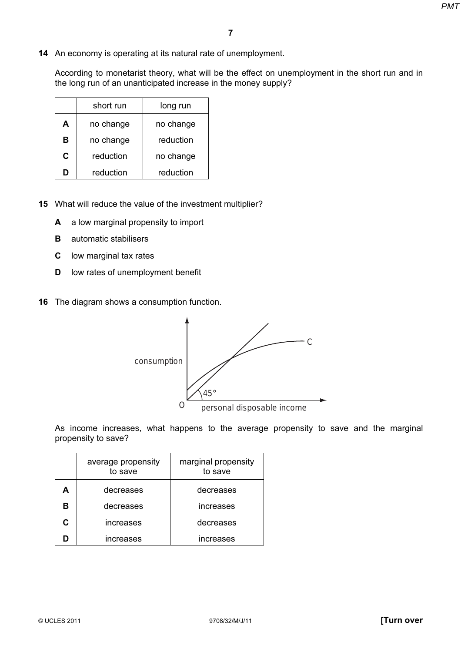14 An economy is operating at its natural rate of unemployment.

According to monetarist theory, what will be the effect on unemployment in the short run and in the long run of an unanticipated increase in the money supply?

|   | short run              | long run  |  |
|---|------------------------|-----------|--|
| А | no change              | no change |  |
| в | no change<br>reduction |           |  |
| C | reduction              | no change |  |
|   | reduction              | reduction |  |

- 15 What will reduce the value of the investment multiplier?
	- A a low marginal propensity to import
	- **B** automatic stabilisers
	- C low marginal tax rates
	- D low rates of unemployment benefit
- 16 The diagram shows a consumption function.



As income increases, what happens to the average propensity to save and the marginal propensity to save?

|   | average propensity<br>to save | marginal propensity<br>to save |  |
|---|-------------------------------|--------------------------------|--|
| A | decreases                     | decreases                      |  |
| в | decreases                     | increases                      |  |
| C | increases                     | decreases                      |  |
| ח | increases                     | increases                      |  |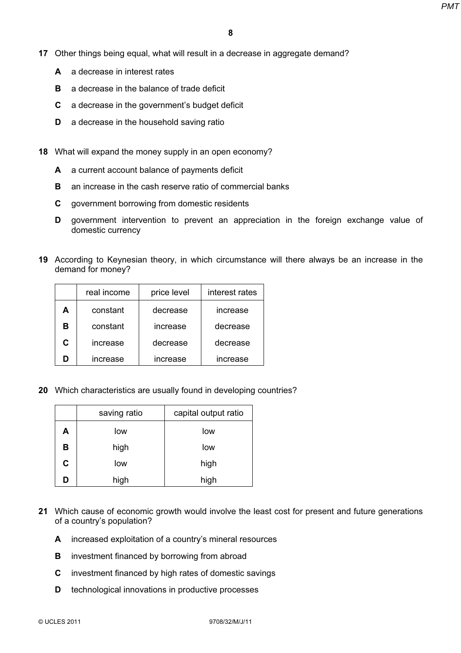- 17 Other things being equal, what will result in a decrease in aggregate demand?
	- A a decrease in interest rates
	- **B** a decrease in the balance of trade deficit
	- C a decrease in the government's budget deficit
	- **D** a decrease in the household saving ratio
- 18 What will expand the money supply in an open economy?
	- A a current account balance of payments deficit
	- **B** an increase in the cash reserve ratio of commercial banks
	- C government borrowing from domestic residents
	- D government intervention to prevent an appreciation in the foreign exchange value of domestic currency
- 19 According to Keynesian theory, in which circumstance will there always be an increase in the demand for money?

|    | real income | price level | interest rates |  |
|----|-------------|-------------|----------------|--|
| А  | constant    | decrease    | increase       |  |
| в  | constant    | increase    | decrease       |  |
| C. | increase    | decrease    | decrease       |  |
|    | increase    | increase    | increase       |  |

20 Which characteristics are usually found in developing countries?

|   | saving ratio | capital output ratio |  |  |
|---|--------------|----------------------|--|--|
| Α | low          | low                  |  |  |
| в | high         | low                  |  |  |
| С | low          | high                 |  |  |
| D | high         | high                 |  |  |

- 21 Which cause of economic growth would involve the least cost for present and future generations of a country's population?
	- A increased exploitation of a country's mineral resources
	- **B** investment financed by borrowing from abroad
	- C investment financed by high rates of domestic savings
	- D technological innovations in productive processes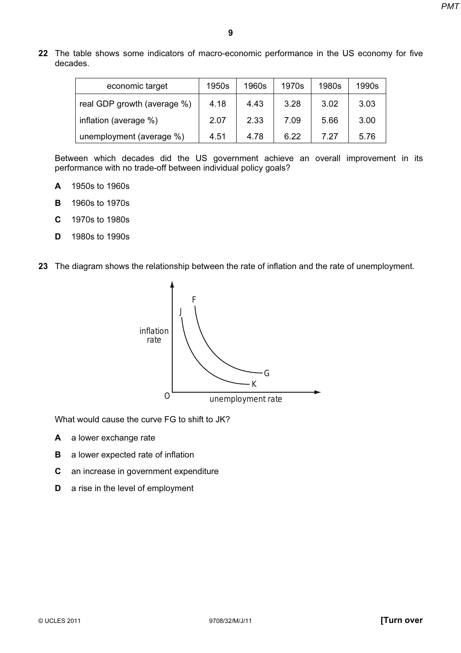22 The table shows some indicators of macro-economic performance in the US economy for five decades.

| economic target             | 1950s | 1960s | 1970s | 1980s | 1990s |
|-----------------------------|-------|-------|-------|-------|-------|
| real GDP growth (average %) | 4.18  | 4.43  | 3.28  | 3.02  | 3.03  |
| inflation (average %)       | 2.07  | 2.33  | 7.09  | 5.66  | 3.00  |
| unemployment (average %)    | 4.51  | 4.78  | 6.22  | 7 27  | 5.76  |

Between which decades did the US government achieve an overall improvement in its performance with no trade-off between individual policy goals?

- A 1950s to 1960s
- B 1960s to 1970s
- C 1970s to 1980s
- D 1980s to 1990s
- 23 The diagram shows the relationship between the rate of inflation and the rate of unemployment.



What would cause the curve FG to shift to JK?

- A a lower exchange rate
- **B** a lower expected rate of inflation
- C an increase in government expenditure
- D a rise in the level of employment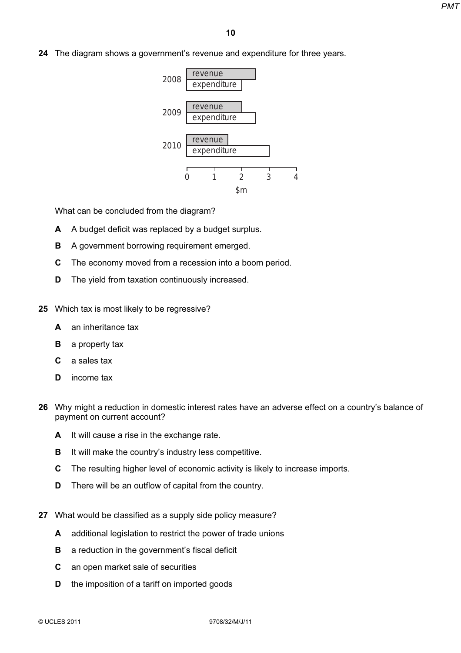24 The diagram shows a government's revenue and expenditure for three years.



What can be concluded from the diagram?

- A A budget deficit was replaced by a budget surplus.
- **B** A government borrowing requirement emerged.
- C The economy moved from a recession into a boom period.
- **D** The yield from taxation continuously increased.
- 25 Which tax is most likely to be regressive?
	- A an inheritance tax
	- **B** a property tax
	- C a sales tax
	- D income tax
- 26 Why might a reduction in domestic interest rates have an adverse effect on a country's balance of payment on current account?
	- A It will cause a rise in the exchange rate.
	- **B** It will make the country's industry less competitive.
	- C The resulting higher level of economic activity is likely to increase imports.
	- **D** There will be an outflow of capital from the country.
- 27 What would be classified as a supply side policy measure?
	- A additional legislation to restrict the power of trade unions
	- **B** a reduction in the government's fiscal deficit
	- C an open market sale of securities
	- **D** the imposition of a tariff on imported goods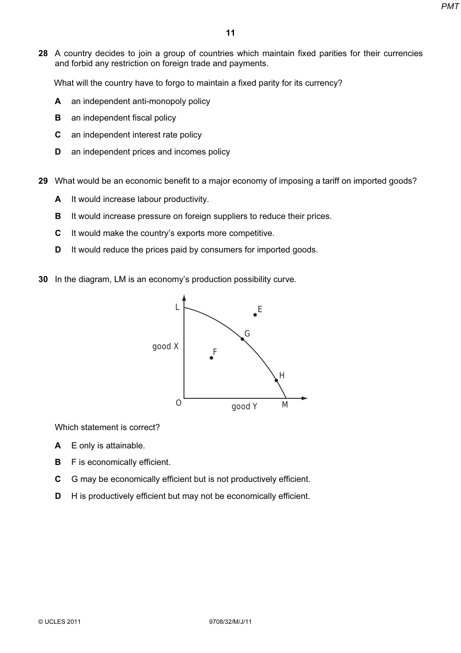28 A country decides to join a group of countries which maintain fixed parities for their currencies and forbid any restriction on foreign trade and payments.

What will the country have to forgo to maintain a fixed parity for its currency?

- A an independent anti-monopoly policy
- **B** an independent fiscal policy
- C an independent interest rate policy
- **D** an independent prices and incomes policy
- 29 What would be an economic benefit to a major economy of imposing a tariff on imported goods?
	- A It would increase labour productivity.
	- B It would increase pressure on foreign suppliers to reduce their prices.
	- C It would make the country's exports more competitive.
	- D It would reduce the prices paid by consumers for imported goods.
- 30 In the diagram, LM is an economy's production possibility curve.



Which statement is correct?

- A E only is attainable.
- **B** F is economically efficient.
- C G may be economically efficient but is not productively efficient.
- D H is productively efficient but may not be economically efficient.